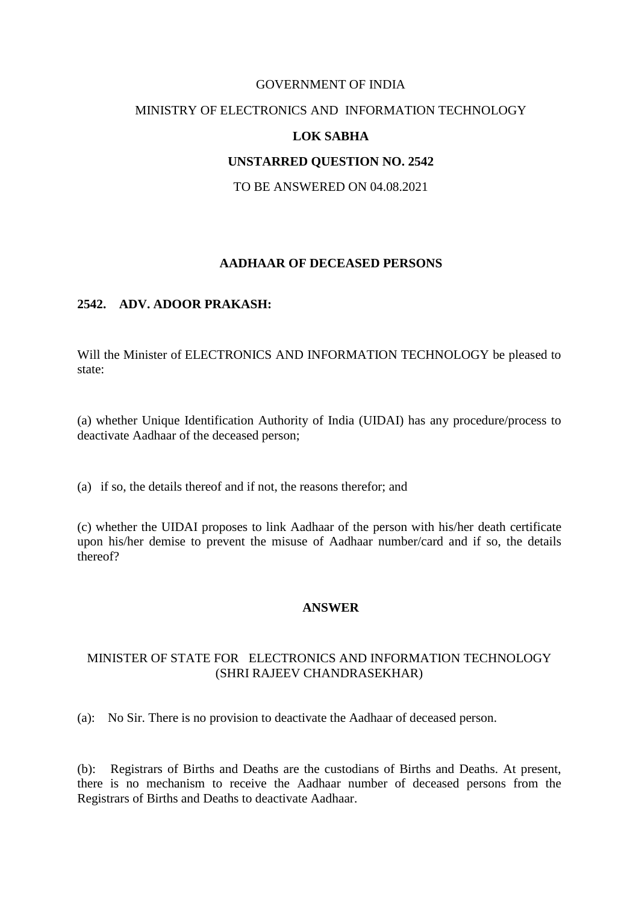#### GOVERNMENT OF INDIA

# MINISTRY OF ELECTRONICS AND INFORMATION TECHNOLOGY

### **LOK SABHA**

### **UNSTARRED QUESTION NO. 2542**

TO BE ANSWERED ON 04.08.2021

### **AADHAAR OF DECEASED PERSONS**

# **2542. ADV. ADOOR PRAKASH:**

Will the Minister of ELECTRONICS AND INFORMATION TECHNOLOGY be pleased to state:

(a) whether Unique Identification Authority of India (UIDAI) has any procedure/process to deactivate Aadhaar of the deceased person;

(a) if so, the details thereof and if not, the reasons therefor; and

(c) whether the UIDAI proposes to link Aadhaar of the person with his/her death certificate upon his/her demise to prevent the misuse of Aadhaar number/card and if so, the details thereof?

#### **ANSWER**

### MINISTER OF STATE FOR ELECTRONICS AND INFORMATION TECHNOLOGY (SHRI RAJEEV CHANDRASEKHAR)

(a):No Sir. There is no provision to deactivate the Aadhaar of deceased person.

(b): Registrars of Births and Deaths are the custodians of Births and Deaths. At present, there is no mechanism to receive the Aadhaar number of deceased persons from the Registrars of Births and Deaths to deactivate Aadhaar.